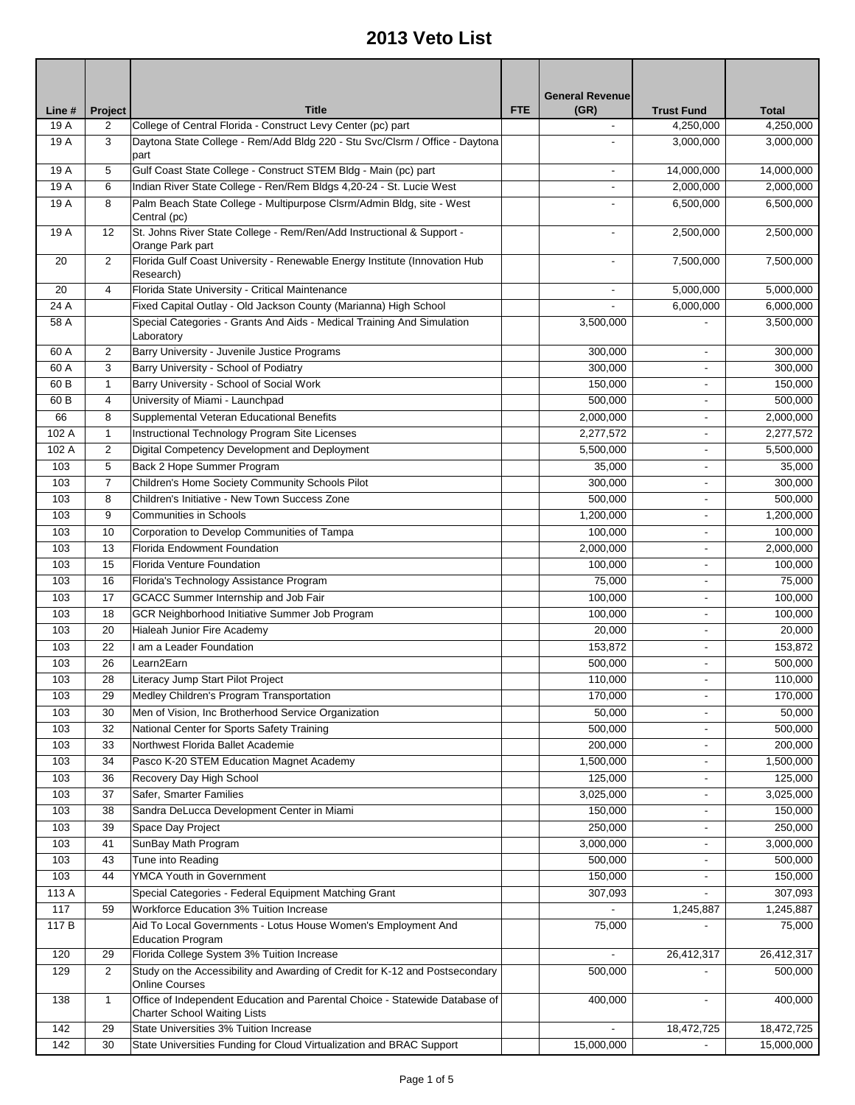|                |                           | <b>Title</b>                                                                                         | <b>FTE</b> | <b>General Revenue</b><br>(GR) | <b>Trust Fund</b>        | <b>Total</b> |
|----------------|---------------------------|------------------------------------------------------------------------------------------------------|------------|--------------------------------|--------------------------|--------------|
| Line #<br>19 A | Project<br>$\overline{2}$ | College of Central Florida - Construct Levy Center (pc) part                                         |            |                                | 4,250,000                | 4,250,000    |
| 19 A           | 3                         | Daytona State College - Rem/Add Bldg 220 - Stu Svc/Clsrm / Office - Daytona                          |            |                                | 3,000,000                | 3,000,000    |
| 19 A           | 5                         | part<br>Gulf Coast State College - Construct STEM Bldg - Main (pc) part                              |            | $\blacksquare$                 | 14,000,000               | 14,000,000   |
| 19 A           | 6                         | Indian River State College - Ren/Rem Bldgs 4,20-24 - St. Lucie West                                  |            | $\overline{\phantom{a}}$       | 2,000,000                | 2,000,000    |
| 19 A           | 8                         | Palm Beach State College - Multipurpose Clsrm/Admin Bldg, site - West                                |            |                                | 6,500,000                | 6,500,000    |
|                |                           | Central (pc)                                                                                         |            |                                |                          |              |
| 19 A           | 12                        | St. Johns River State College - Rem/Ren/Add Instructional & Support -<br>Orange Park part            |            |                                | 2,500,000                | 2,500,000    |
| 20             | 2                         | Florida Gulf Coast University - Renewable Energy Institute (Innovation Hub<br>Research)              |            | $\overline{\phantom{a}}$       | 7,500,000                | 7,500,000    |
| 20             | $\overline{4}$            | Florida State University - Critical Maintenance                                                      |            | $\blacksquare$                 | 5,000,000                | 5,000,000    |
| 24 A           |                           | Fixed Capital Outlay - Old Jackson County (Marianna) High School                                     |            |                                | 6,000,000                | 6,000,000    |
| 58 A           |                           | Special Categories - Grants And Aids - Medical Training And Simulation<br>Laboratory                 |            | 3,500,000                      |                          | 3,500,000    |
| 60 A           | $\overline{2}$            | Barry University - Juvenile Justice Programs                                                         |            | 300,000                        |                          | 300,000      |
| 60 A           | 3                         | Barry University - School of Podiatry                                                                |            | 300,000                        |                          | 300,000      |
| 60 B           | $\mathbf{1}$              | Barry University - School of Social Work                                                             |            | 150.000                        |                          | 150,000      |
| 60 B           | $\overline{4}$            | University of Miami - Launchpad                                                                      |            | 500,000                        | $\overline{\phantom{0}}$ | 500,000      |
| 66             | 8                         | Supplemental Veteran Educational Benefits                                                            |            | 2,000,000                      | $\overline{\phantom{0}}$ | 2,000,000    |
| 102 A          | $\mathbf{1}$              | Instructional Technology Program Site Licenses                                                       |            | 2,277,572                      |                          | 2,277,572    |
| 102 A          | $\overline{2}$            | Digital Competency Development and Deployment                                                        |            | 5,500,000                      |                          | 5,500,000    |
| 103            | 5                         | Back 2 Hope Summer Program                                                                           |            | 35,000                         |                          | 35,000       |
| 103            | $\overline{7}$            | Children's Home Society Community Schools Pilot                                                      |            | 300,000                        |                          | 300,000      |
| 103            | 8                         | Children's Initiative - New Town Success Zone                                                        |            | 500,000                        | $\overline{\phantom{a}}$ | 500,000      |
| 103            | 9                         | <b>Communities in Schools</b>                                                                        |            | 1,200,000                      | ٠                        | 1,200,000    |
| 103            | 10                        | Corporation to Develop Communities of Tampa                                                          |            | 100,000                        | -                        | 100,000      |
| 103            | 13                        | Florida Endowment Foundation                                                                         |            | 2,000,000                      | $\overline{\phantom{0}}$ | 2,000,000    |
| 103            | 15                        | Florida Venture Foundation                                                                           |            | 100,000                        | -                        | 100,000      |
| 103            | 16                        |                                                                                                      |            | 75,000                         | $\overline{\phantom{0}}$ | 75,000       |
| 103            | 17                        | Florida's Technology Assistance Program<br>GCACC Summer Internship and Job Fair                      |            | 100,000                        | ٠                        | 100,000      |
|                |                           |                                                                                                      |            |                                |                          | 100,000      |
| 103            | 18                        | GCR Neighborhood Initiative Summer Job Program                                                       |            | 100,000                        | $\overline{\phantom{0}}$ |              |
| 103            | 20                        | Hialeah Junior Fire Academy                                                                          |            | 20,000                         | $\blacksquare$           | 20,000       |
| 103            | 22                        | I am a Leader Foundation                                                                             |            | 153,872                        | $\blacksquare$           | 153,872      |
| 103            | 26                        | Learn <sub>2</sub> Earn                                                                              |            | 500,000                        | $\overline{\phantom{a}}$ | 500,000      |
| 103            | 28                        | Literacy Jump Start Pilot Project                                                                    |            | 110,000                        |                          | 110,000      |
| 103            | 29                        | Medley Children's Program Transportation                                                             |            | 170,000                        | $\blacksquare$           | 170,000      |
| 103            | 30                        | Men of Vision, Inc Brotherhood Service Organization                                                  |            | 50,000                         |                          | 50,000       |
| 103            | 32                        | National Center for Sports Safety Training                                                           |            | 500,000                        |                          | 500,000      |
| 103            | 33                        | Northwest Florida Ballet Academie                                                                    |            | 200,000                        |                          | 200,000      |
| 103            | 34                        | Pasco K-20 STEM Education Magnet Academy                                                             |            | 1,500,000                      |                          | 1,500,000    |
| 103            | 36                        | Recovery Day High School                                                                             |            | 125,000                        |                          | 125,000      |
| 103            | 37                        | Safer, Smarter Families                                                                              |            | 3,025,000                      |                          | 3,025,000    |
| 103            | 38                        | Sandra DeLucca Development Center in Miami                                                           |            | 150,000                        |                          | 150,000      |
| 103            | 39                        | Space Day Project                                                                                    |            | 250,000                        |                          | 250,000      |
| 103            | 41                        | SunBay Math Program                                                                                  |            | 3,000,000                      |                          | 3,000,000    |
| 103            | 43                        | Tune into Reading                                                                                    |            | 500,000                        |                          | 500,000      |
| 103            | 44                        | YMCA Youth in Government                                                                             |            | 150,000                        |                          | 150,000      |
| 113 A          |                           | Special Categories - Federal Equipment Matching Grant                                                |            | 307,093                        | ÷.                       | 307,093      |
| 117            | 59                        | Workforce Education 3% Tuition Increase                                                              |            |                                | 1,245,887                | 1,245,887    |
| 117 B          |                           | Aid To Local Governments - Lotus House Women's Employment And<br><b>Education Program</b>            |            | 75,000                         |                          | 75,000       |
| 120            | 29                        | Florida College System 3% Tuition Increase                                                           |            |                                | 26,412,317               | 26,412,317   |
| 129            | $\overline{2}$            | Study on the Accessibility and Awarding of Credit for K-12 and Postsecondary                         |            | 500,000                        |                          | 500,000      |
| 138            | $\mathbf{1}$              | <b>Online Courses</b><br>Office of Independent Education and Parental Choice - Statewide Database of |            | 400,000                        | $\overline{\phantom{0}}$ | 400,000      |
|                |                           | <b>Charter School Waiting Lists</b>                                                                  |            |                                |                          |              |
| 142            | 29                        | State Universities 3% Tuition Increase                                                               |            |                                | 18,472,725               | 18,472,725   |
| 142            | 30                        | State Universities Funding for Cloud Virtualization and BRAC Support                                 |            | 15,000,000                     |                          | 15,000,000   |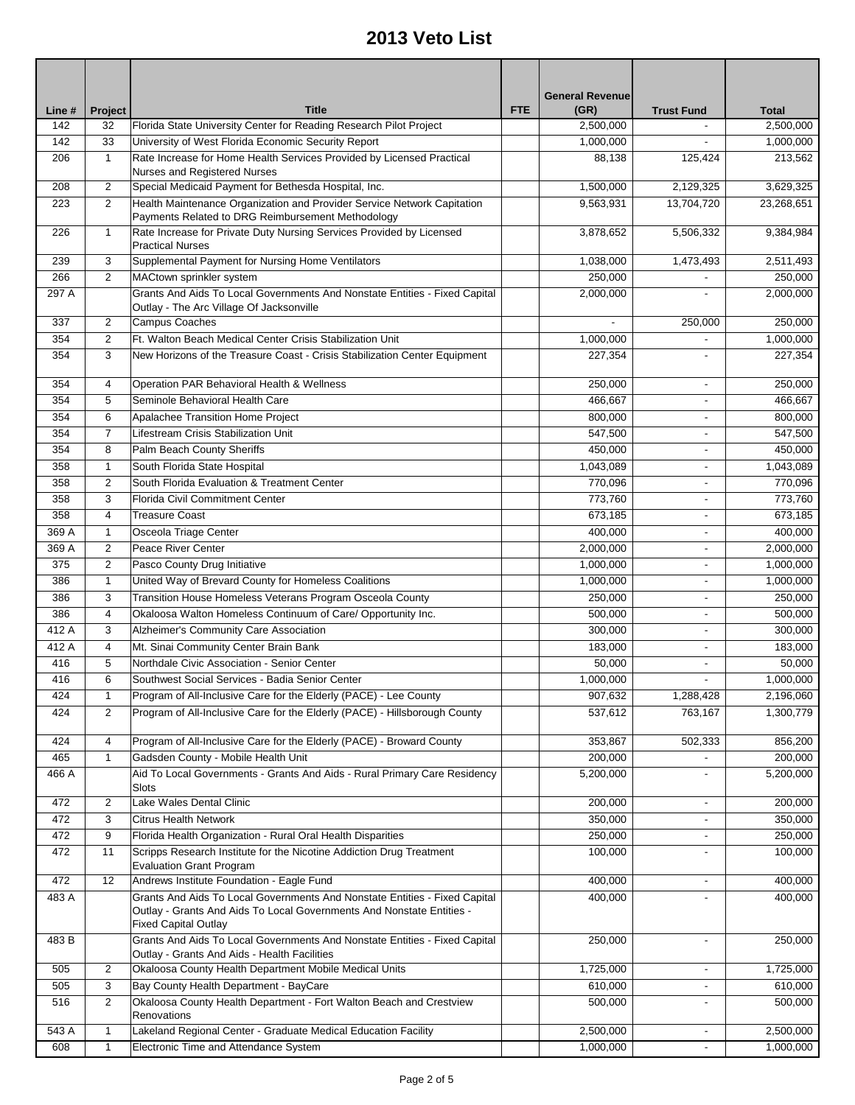| Line # | Project           | <b>Title</b>                                                                                                               | <b>FTE</b> | <b>General Revenue</b><br>(GR) | <b>Trust Fund</b>        | <b>Total</b> |
|--------|-------------------|----------------------------------------------------------------------------------------------------------------------------|------------|--------------------------------|--------------------------|--------------|
| 142    | 32                | Florida State University Center for Reading Research Pilot Project                                                         |            | 2,500,000                      |                          | 2,500,000    |
| 142    | 33                | University of West Florida Economic Security Report                                                                        |            | 1,000,000                      |                          | 1,000,000    |
| 206    | $\mathbf{1}$      | Rate Increase for Home Health Services Provided by Licensed Practical<br>Nurses and Registered Nurses                      |            | 88,138                         | 125,424                  | 213,562      |
| 208    | $\overline{2}$    | Special Medicaid Payment for Bethesda Hospital, Inc.                                                                       |            | 1,500,000                      | 2,129,325                | 3,629,325    |
| 223    | 2                 | Health Maintenance Organization and Provider Service Network Capitation                                                    |            | 9,563,931                      | 13,704,720               | 23,268,651   |
|        |                   | Payments Related to DRG Reimbursement Methodology                                                                          |            |                                |                          |              |
| 226    | $\mathbf{1}$      | Rate Increase for Private Duty Nursing Services Provided by Licensed<br><b>Practical Nurses</b>                            |            | 3,878,652                      | 5,506,332                | 9,384,984    |
| 239    | 3                 | Supplemental Payment for Nursing Home Ventilators                                                                          |            | 1,038,000                      | 1,473,493                | 2,511,493    |
| 266    | 2                 | MACtown sprinkler system                                                                                                   |            | 250,000                        |                          | 250,000      |
| 297 A  |                   | Grants And Aids To Local Governments And Nonstate Entities - Fixed Capital<br>Outlay - The Arc Village Of Jacksonville     |            | 2,000,000                      |                          | 2,000,000    |
| 337    | $\overline{2}$    | Campus Coaches                                                                                                             |            |                                | 250,000                  | 250,000      |
| 354    | $\overline{2}$    | Ft. Walton Beach Medical Center Crisis Stabilization Unit                                                                  |            | 1,000,000                      |                          | 1,000,000    |
| 354    | 3                 | New Horizons of the Treasure Coast - Crisis Stabilization Center Equipment                                                 |            | 227,354                        |                          | 227,354      |
| 354    | 4                 | Operation PAR Behavioral Health & Wellness                                                                                 |            | 250,000                        | $\overline{\phantom{a}}$ | 250,000      |
| 354    | 5                 | Seminole Behavioral Health Care                                                                                            |            | 466,667                        | ٠                        | 466,667      |
| 354    | 6                 | Apalachee Transition Home Project                                                                                          |            | 800,000                        |                          | 800,000      |
| 354    | $\overline{7}$    | Lifestream Crisis Stabilization Unit                                                                                       |            | 547,500                        |                          | 547,500      |
| 354    | 8                 | Palm Beach County Sheriffs                                                                                                 |            | 450,000                        |                          | 450,000      |
| 358    | 1                 | South Florida State Hospital                                                                                               |            | 1,043,089                      |                          | 1,043,089    |
| 358    | $\overline{2}$    | South Florida Evaluation & Treatment Center                                                                                |            | 770,096                        |                          | 770,096      |
| 358    | 3                 | <b>Florida Civil Commitment Center</b>                                                                                     |            | 773,760                        | ٠                        | 773,760      |
| 358    | 4                 | <b>Treasure Coast</b>                                                                                                      |            | 673,185                        | ٠                        | 673,185      |
| 369 A  | 1                 | Osceola Triage Center                                                                                                      |            | 400,000                        | $\overline{\phantom{a}}$ | 400,000      |
| 369 A  | $\overline{2}$    | Peace River Center                                                                                                         |            | 2,000,000                      |                          | 2,000,000    |
| 375    | $\overline{2}$    | Pasco County Drug Initiative                                                                                               |            | 1,000,000                      |                          | 1,000,000    |
| 386    | $\mathbf{1}$      | United Way of Brevard County for Homeless Coalitions                                                                       |            | 1,000,000                      | $\overline{\phantom{a}}$ | 1,000,000    |
| 386    | 3                 | Transition House Homeless Veterans Program Osceola County                                                                  |            | 250,000                        | $\overline{\phantom{a}}$ | 250,000      |
| 386    | $\overline{4}$    | Okaloosa Walton Homeless Continuum of Care/ Opportunity Inc.                                                               |            | 500,000                        | $\overline{\phantom{a}}$ | 500.000      |
| 412 A  | 3                 | Alzheimer's Community Care Association                                                                                     |            | 300,000                        | ٠                        | 300.000      |
| 412 A  | 4                 | Mt. Sinai Community Center Brain Bank                                                                                      |            | 183,000                        | $\overline{\phantom{a}}$ | 183,000      |
| 416    | 5                 | Northdale Civic Association - Senior Center                                                                                |            | 50,000                         | ٠                        | 50,000       |
| 416    |                   | Southwest Social Services - Badia Senior Center                                                                            |            | 1,000,000                      |                          | 1,000,000    |
| 424    | 6<br>$\mathbf{1}$ | Program of All-Inclusive Care for the Elderly (PACE) - Lee County                                                          |            |                                | 1,288,428                |              |
|        |                   |                                                                                                                            |            | 907,632                        |                          | 2,196,060    |
| 424    | $\overline{2}$    | Program of All-Inclusive Care for the Elderly (PACE) - Hillsborough County                                                 |            | 537,612                        | 763,167                  | 1,300,779    |
| 424    | 4                 | Program of All-Inclusive Care for the Elderly (PACE) - Broward County                                                      |            | 353,867                        | 502,333                  | 856,200      |
| 465    | 1                 | Gadsden County - Mobile Health Unit                                                                                        |            | 200,000                        |                          | 200,000      |
| 466 A  |                   | Aid To Local Governments - Grants And Aids - Rural Primary Care Residency<br>Slots                                         |            | 5,200,000                      |                          | 5,200,000    |
| 472    | 2                 | Lake Wales Dental Clinic                                                                                                   |            | 200,000                        |                          | 200,000      |
| 472    | 3                 | <b>Citrus Health Network</b>                                                                                               |            | 350,000                        |                          | 350,000      |
| 472    | 9                 | Florida Health Organization - Rural Oral Health Disparities                                                                |            | 250,000                        |                          | 250,000      |
| 472    | 11                | Scripps Research Institute for the Nicotine Addiction Drug Treatment<br><b>Evaluation Grant Program</b>                    |            | 100,000                        |                          | 100,000      |
| 472    | 12                | Andrews Institute Foundation - Eagle Fund                                                                                  |            | 400,000                        | $\overline{\phantom{a}}$ | 400,000      |
| 483 A  |                   | Grants And Aids To Local Governments And Nonstate Entities - Fixed Capital                                                 |            | 400,000                        |                          | 400,000      |
|        |                   | Outlay - Grants And Aids To Local Governments And Nonstate Entities -<br><b>Fixed Capital Outlay</b>                       |            |                                |                          |              |
| 483 B  |                   | Grants And Aids To Local Governments And Nonstate Entities - Fixed Capital<br>Outlay - Grants And Aids - Health Facilities |            | 250,000                        | $\overline{\phantom{a}}$ | 250,000      |
| 505    | $\overline{2}$    | Okaloosa County Health Department Mobile Medical Units                                                                     |            | 1,725,000                      | ٠                        | 1,725,000    |
| 505    | 3                 | Bay County Health Department - BayCare                                                                                     |            | 610,000                        |                          | 610,000      |
| 516    | $\overline{2}$    | Okaloosa County Health Department - Fort Walton Beach and Crestview<br>Renovations                                         |            | 500,000                        |                          | 500,000      |
| 543 A  | $\mathbf{1}$      | Lakeland Regional Center - Graduate Medical Education Facility                                                             |            | 2,500,000                      | $\frac{1}{2}$            | 2,500,000    |
| 608    | 1                 | Electronic Time and Attendance System                                                                                      |            | 1,000,000                      | $\overline{\phantom{a}}$ | 1,000,000    |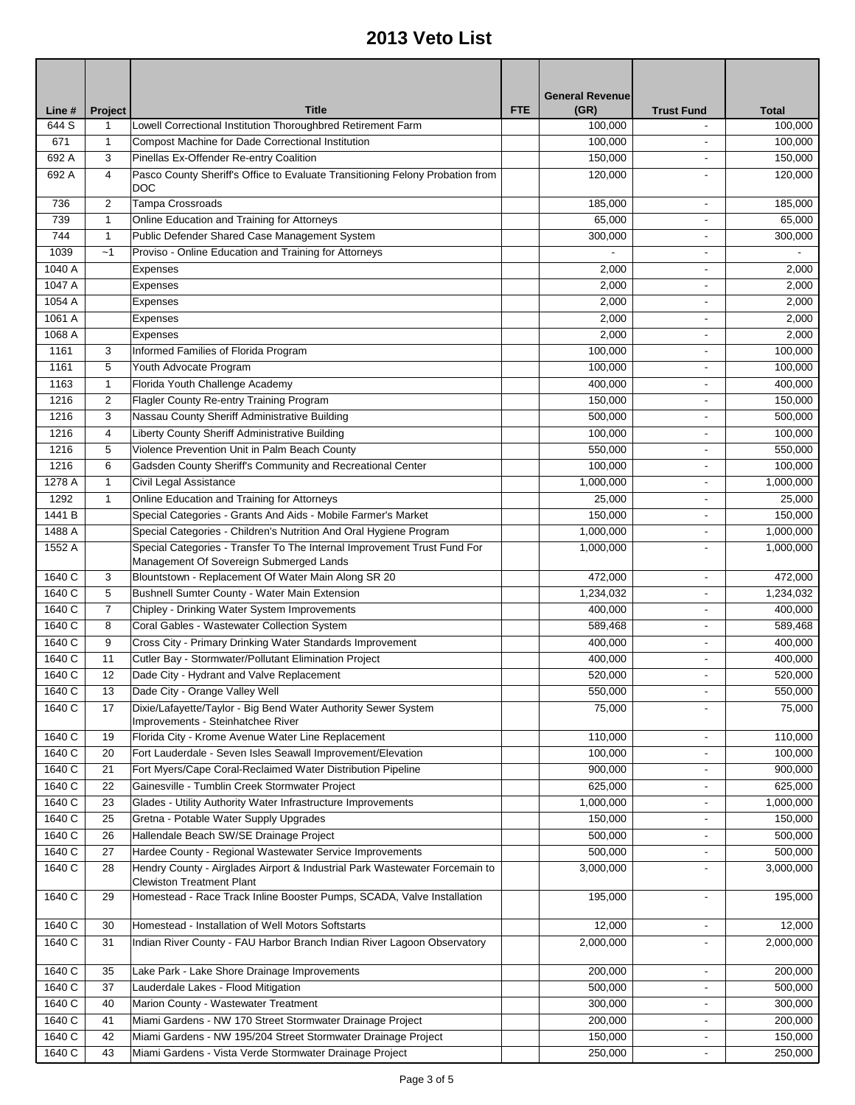|        |                |                                                                                                                     |            | <b>General Revenue</b> |                          |                     |
|--------|----------------|---------------------------------------------------------------------------------------------------------------------|------------|------------------------|--------------------------|---------------------|
| Line # | Project        | <b>Title</b>                                                                                                        | <b>FTE</b> | (GR)                   | <b>Trust Fund</b>        | <b>Total</b>        |
| 644 S  | 1              | Lowell Correctional Institution Thoroughbred Retirement Farm                                                        |            | 100,000                |                          | 100,000             |
| 671    | $\mathbf{1}$   | Compost Machine for Dade Correctional Institution                                                                   |            | 100,000                | $\blacksquare$           | 100.000             |
| 692 A  | 3              | Pinellas Ex-Offender Re-entry Coalition                                                                             |            | 150,000                | $\blacksquare$           | 150,000             |
| 692 A  | 4              | Pasco County Sheriff's Office to Evaluate Transitioning Felony Probation from<br><b>DOC</b>                         |            | 120,000                |                          | 120,000             |
| 736    | $\overline{c}$ | <b>Tampa Crossroads</b>                                                                                             |            | 185,000                | $\overline{\phantom{a}}$ | 185,000             |
| 739    | $\mathbf{1}$   | Online Education and Training for Attorneys                                                                         |            | 65,000                 |                          | 65,000              |
| 744    | $\mathbf{1}$   | Public Defender Shared Case Management System                                                                       |            | 300,000                |                          | 300,000             |
| 1039   | ~1             | Proviso - Online Education and Training for Attorneys                                                               |            |                        |                          |                     |
| 1040 A |                | Expenses                                                                                                            |            | 2,000                  |                          | 2,000               |
| 1047 A |                | Expenses                                                                                                            |            | 2,000                  |                          | 2,000               |
| 1054 A |                | Expenses                                                                                                            |            | 2,000                  |                          | 2,000               |
| 1061 A |                | Expenses                                                                                                            |            | 2,000                  |                          | 2,000               |
| 1068 A |                | Expenses                                                                                                            |            | 2,000                  |                          | 2,000               |
| 1161   | 3              | Informed Families of Florida Program                                                                                |            | 100,000                |                          | 100,000             |
| 1161   | 5              | Youth Advocate Program                                                                                              |            | 100,000                | $\overline{\phantom{a}}$ | 100,000             |
| 1163   | $\mathbf{1}$   | Florida Youth Challenge Academy                                                                                     |            | 400,000                | $\overline{\phantom{a}}$ | 400,000             |
| 1216   | 2              | Flagler County Re-entry Training Program                                                                            |            | 150,000                |                          | 150,000             |
| 1216   | 3              | Nassau County Sheriff Administrative Building                                                                       |            | 500,000                |                          | 500,000             |
| 1216   | 4              | Liberty County Sheriff Administrative Building                                                                      |            | 100,000                |                          | 100.000             |
| 1216   | 5              | Violence Prevention Unit in Palm Beach County                                                                       |            | 550,000                | $\overline{\phantom{a}}$ | 550,000             |
| 1216   | 6              | Gadsden County Sheriff's Community and Recreational Center                                                          |            | 100,000                | $\overline{\phantom{a}}$ | 100,000             |
| 1278 A | $\mathbf{1}$   | Civil Legal Assistance                                                                                              |            | 1,000,000              | $\overline{\phantom{a}}$ | 1,000,000           |
| 1292   | $\mathbf{1}$   | Online Education and Training for Attorneys                                                                         |            | 25,000                 | $\overline{\phantom{a}}$ | 25,000              |
| 1441 B |                | Special Categories - Grants And Aids - Mobile Farmer's Market                                                       |            | 150,000                | $\overline{\phantom{a}}$ | 150,000             |
| 1488 A |                | Special Categories - Children's Nutrition And Oral Hygiene Program                                                  |            | 1,000,000              | $\overline{\phantom{a}}$ | 1,000,000           |
| 1552 A |                | Special Categories - Transfer To The Internal Improvement Trust Fund For<br>Management Of Sovereign Submerged Lands |            | 1,000,000              |                          | 1,000,000           |
| 1640 C | 3              | Blountstown - Replacement Of Water Main Along SR 20                                                                 |            | 472,000                | $\overline{\phantom{a}}$ | 472,000             |
| 1640 C | 5              | Bushnell Sumter County - Water Main Extension                                                                       |            | 1,234,032              | $\overline{\phantom{a}}$ | 1,234,032           |
| 1640 C | 7              | Chipley - Drinking Water System Improvements                                                                        |            | 400,000                |                          | 400,000             |
| 1640 C | 8              | Coral Gables - Wastewater Collection System                                                                         |            | 589,468                |                          | 589,468             |
| 1640 C | 9              | Cross City - Primary Drinking Water Standards Improvement                                                           |            | 400,000                |                          | 400,000             |
| 1640 C | 11             | Cutler Bay - Stormwater/Pollutant Elimination Project                                                               |            | 400,000                | $\overline{\phantom{a}}$ | $\frac{1}{400,000}$ |
| 1640 C | 12             | Dade City - Hydrant and Valve Replacement                                                                           |            | 520,000                | $\blacksquare$           | 520,000             |
| 1640 C | 13             | Dade City - Orange Valley Well                                                                                      |            | 550,000                |                          | 550,000             |
| 1640 C | 17             | Dixie/Lafayette/Taylor - Big Bend Water Authority Sewer System<br>Improvements - Steinhatchee River                 |            | 75,000                 |                          | 75,000              |
| 1640 C | 19             | Florida City - Krome Avenue Water Line Replacement                                                                  |            | 110,000                | $\overline{\phantom{a}}$ | 110,000             |
| 1640 C | 20             | Fort Lauderdale - Seven Isles Seawall Improvement/Elevation                                                         |            | 100,000                |                          | 100,000             |
| 1640 C | 21             | Fort Myers/Cape Coral-Reclaimed Water Distribution Pipeline                                                         |            | 900,000                | $\overline{\phantom{a}}$ | 900,000             |
| 1640 C | 22             | Gainesville - Tumblin Creek Stormwater Project                                                                      |            | 625,000                | $\overline{\phantom{a}}$ | 625,000             |
| 1640 C | 23             | Glades - Utility Authority Water Infrastructure Improvements                                                        |            | 1,000,000              | $\overline{\phantom{a}}$ | 1,000,000           |
| 1640 C | 25             | Gretna - Potable Water Supply Upgrades                                                                              |            | 150,000                |                          | 150,000             |
| 1640 C | 26             | Hallendale Beach SW/SE Drainage Project                                                                             |            | 500,000                |                          | 500,000             |
| 1640 C | 27             | Hardee County - Regional Wastewater Service Improvements                                                            |            | 500,000                |                          | 500,000             |
| 1640 C | 28             | Hendry County - Airglades Airport & Industrial Park Wastewater Forcemain to<br><b>Clewiston Treatment Plant</b>     |            | 3,000,000              | ä,                       | 3,000,000           |
| 1640 C | 29             | Homestead - Race Track Inline Booster Pumps, SCADA, Valve Installation                                              |            | 195,000                | $\overline{\phantom{a}}$ | 195,000             |
| 1640 C | 30             | Homestead - Installation of Well Motors Softstarts                                                                  |            | 12,000                 | $\blacksquare$           | 12,000              |
| 1640 C | 31             | Indian River County - FAU Harbor Branch Indian River Lagoon Observatory                                             |            | 2,000,000              |                          | 2,000,000           |
| 1640 C | 35             | Lake Park - Lake Shore Drainage Improvements                                                                        |            | 200,000                | $\overline{\phantom{a}}$ | 200,000             |
| 1640 C | 37             | Lauderdale Lakes - Flood Mitigation                                                                                 |            | 500,000                | $\overline{\phantom{a}}$ | 500,000             |
| 1640 C | 40             | Marion County - Wastewater Treatment                                                                                |            | 300,000                | $\blacksquare$           | 300,000             |
| 1640 C | 41             | Miami Gardens - NW 170 Street Stormwater Drainage Project                                                           |            | 200,000                | $\overline{\phantom{a}}$ | 200,000             |
| 1640 C | 42             | Miami Gardens - NW 195/204 Street Stormwater Drainage Project                                                       |            | 150,000                |                          | 150,000             |
| 1640 C | 43             | Miami Gardens - Vista Verde Stormwater Drainage Project                                                             |            | 250,000                | $\blacksquare$           | 250,000             |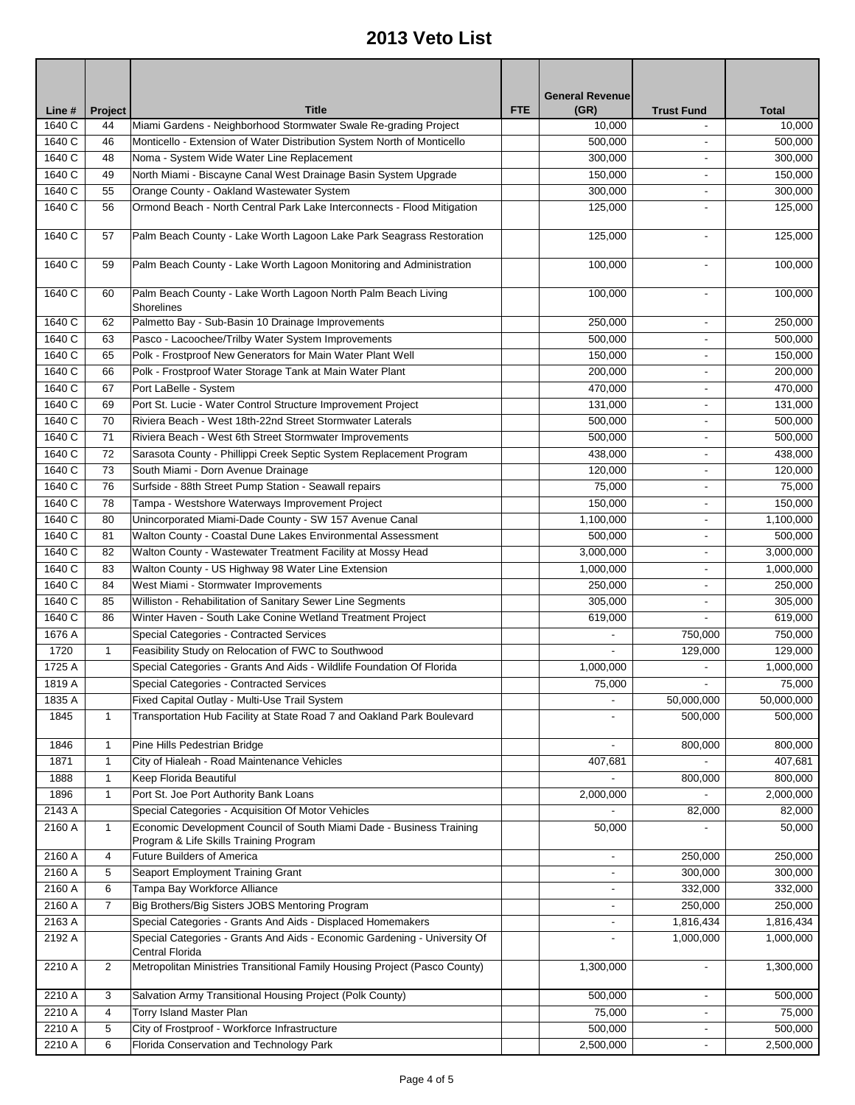|                       |              |                                                                                                                |            | <b>General Revenue</b>   |                          |              |
|-----------------------|--------------|----------------------------------------------------------------------------------------------------------------|------------|--------------------------|--------------------------|--------------|
| Line #                | Project      | <b>Title</b>                                                                                                   | <b>FTE</b> | (GR)                     | <b>Trust Fund</b>        | <b>Total</b> |
| 1640 C                | 44           | Miami Gardens - Neighborhood Stormwater Swale Re-grading Project                                               |            | 10,000                   |                          | 10,000       |
| 1640 C                | 46           | Monticello - Extension of Water Distribution System North of Monticello                                        |            | 500,000                  |                          | 500,000      |
| 1640 C                | 48           | Noma - System Wide Water Line Replacement                                                                      |            | 300,000                  |                          | 300,000      |
| 1640 C                | 49           | North Miami - Biscayne Canal West Drainage Basin System Upgrade                                                |            | 150,000                  | $\overline{\phantom{0}}$ | 150,000      |
| 1640 C                | 55           | Orange County - Oakland Wastewater System                                                                      |            | 300,000                  |                          | 300,000      |
| 1640 C                | 56           | Ormond Beach - North Central Park Lake Interconnects - Flood Mitigation                                        |            | 125,000                  | ٠                        | 125,000      |
| 1640 C                | 57           | Palm Beach County - Lake Worth Lagoon Lake Park Seagrass Restoration                                           |            | 125,000                  | $\blacksquare$           | 125,000      |
| 1640 C                | 59           | Palm Beach County - Lake Worth Lagoon Monitoring and Administration                                            |            | 100,000                  | ٠                        | 100,000      |
| 1640 C                | 60           | Palm Beach County - Lake Worth Lagoon North Palm Beach Living<br>Shorelines                                    |            | 100,000                  |                          | 100,000      |
| 1640 C                | 62           | Palmetto Bay - Sub-Basin 10 Drainage Improvements                                                              |            | 250,000                  | $\overline{\phantom{0}}$ | 250,000      |
| 1640 C                | 63           | Pasco - Lacoochee/Trilby Water System Improvements                                                             |            | 500,000                  |                          | 500,000      |
| 1640 C                | 65           | Polk - Frostproof New Generators for Main Water Plant Well                                                     |            | 150,000                  | $\overline{\phantom{0}}$ | 150,000      |
| 1640 C                | 66           | Polk - Frostproof Water Storage Tank at Main Water Plant                                                       |            | 200,000                  | -                        | 200,000      |
| 1640C                 | 67           | Port LaBelle - System                                                                                          |            | 470,000                  |                          | 470,000      |
| $1640$ $\overline{C}$ | 69           | Port St. Lucie - Water Control Structure Improvement Project                                                   |            | 131,000                  | $\blacksquare$           | 131,000      |
| 1640 C                | 70           | Riviera Beach - West 18th-22nd Street Stormwater Laterals                                                      |            | 500,000                  |                          | 500,000      |
| 1640 C                | 71           | Riviera Beach - West 6th Street Stormwater Improvements                                                        |            | 500,000                  | $\overline{\phantom{0}}$ | 500,000      |
| 1640 C                | 72           | Sarasota County - Phillippi Creek Septic System Replacement Program                                            |            | 438,000                  | $\overline{\phantom{0}}$ | 438,000      |
| 1640 C                | 73           | South Miami - Dorn Avenue Drainage                                                                             |            | 120,000                  |                          | 120,000      |
| 1640 C                | 76           | Surfside - 88th Street Pump Station - Seawall repairs                                                          |            | 75,000                   |                          | 75,000       |
| 1640 C                | 78           | Tampa - Westshore Waterways Improvement Project                                                                |            | 150,000                  |                          | 150,000      |
| 1640 C                | 80           | Unincorporated Miami-Dade County - SW 157 Avenue Canal                                                         |            | 1,100,000                |                          | 1,100,000    |
| 1640 C                | 81           | Walton County - Coastal Dune Lakes Environmental Assessment                                                    |            | 500,000                  |                          | 500,000      |
| 1640 C                | 82           | Walton County - Wastewater Treatment Facility at Mossy Head                                                    |            | 3,000,000                | $\overline{\phantom{0}}$ | 3,000,000    |
| 1640 C                | 83           | Walton County - US Highway 98 Water Line Extension                                                             |            | 1,000,000                | -                        | 1,000,000    |
| 1640 C                | 84           | West Miami - Stormwater Improvements                                                                           |            | 250,000                  |                          | 250,000      |
| 1640 C                | 85           | Williston - Rehabilitation of Sanitary Sewer Line Segments                                                     |            | 305,000                  |                          | 305,000      |
| 1640 C                | 86           | Winter Haven - South Lake Conine Wetland Treatment Project                                                     |            | 619,000                  | $\overline{\phantom{0}}$ | 619,000      |
| 1676 A                |              | Special Categories - Contracted Services                                                                       |            | $\overline{\phantom{a}}$ | 750,000                  | 750,000      |
| 1720                  | $\mathbf{1}$ | Feasibility Study on Relocation of FWC to Southwood                                                            |            | $\blacksquare$           | 129,000                  | 129,000      |
| 1725 A                |              | Special Categories - Grants And Aids - Wildlife Foundation Of Florida                                          |            | 1,000,000                |                          | 1,000,000    |
| 1819 A                |              | Special Categories - Contracted Services                                                                       |            | 75,000                   |                          | 75,000       |
| 1835 A                |              | Fixed Capital Outlay - Multi-Use Trail System                                                                  |            |                          | 50,000,000               | 50,000,000   |
| 1845                  | $\mathbf{1}$ | Transportation Hub Facility at State Road 7 and Oakland Park Boulevard                                         |            |                          | 500,000                  | 500,000      |
| 1846                  | 1            | Pine Hills Pedestrian Bridge                                                                                   |            |                          | 800,000                  | 800,000      |
| 1871                  | $\mathbf{1}$ | City of Hialeah - Road Maintenance Vehicles                                                                    |            | 407,681                  |                          | 407,681      |
| 1888                  | 1            | Keep Florida Beautiful                                                                                         |            |                          | 800,000                  | 800,000      |
| 1896                  | 1            | Port St. Joe Port Authority Bank Loans                                                                         |            | 2,000,000                |                          | 2,000,000    |
| 2143 A                |              | Special Categories - Acquisition Of Motor Vehicles                                                             |            |                          | 82,000                   | 82,000       |
| 2160 A                | $\mathbf{1}$ | Economic Development Council of South Miami Dade - Business Training<br>Program & Life Skills Training Program |            | 50,000                   |                          | 50,000       |
| 2160 A                | 4            | <b>Future Builders of America</b>                                                                              |            | $\overline{\phantom{a}}$ | 250,000                  | 250,000      |
| 2160 A                | 5            | Seaport Employment Training Grant                                                                              |            |                          | 300,000                  | 300,000      |
| 2160 A                | 6            | Tampa Bay Workforce Alliance                                                                                   |            |                          | 332,000                  | 332,000      |
| 2160 A                | 7            | Big Brothers/Big Sisters JOBS Mentoring Program                                                                |            |                          | 250,000                  | 250,000      |
| 2163 A                |              | Special Categories - Grants And Aids - Displaced Homemakers                                                    |            |                          | 1,816,434                | 1,816,434    |
| 2192 A                |              | Special Categories - Grants And Aids - Economic Gardening - University Of<br>Central Florida                   |            |                          | 1,000,000                | 1,000,000    |
| 2210 A                | 2            | Metropolitan Ministries Transitional Family Housing Project (Pasco County)                                     |            | 1,300,000                |                          | 1,300,000    |
| 2210 A                | 3            | Salvation Army Transitional Housing Project (Polk County)                                                      |            | 500,000                  |                          | 500,000      |
| 2210 A                | 4            | Torry Island Master Plan                                                                                       |            | 75,000                   |                          | 75,000       |
| 2210 A                | 5            | City of Frostproof - Workforce Infrastructure                                                                  |            | 500,000                  |                          | 500,000      |
| 2210 A                | 6            | Florida Conservation and Technology Park                                                                       |            | 2,500,000                |                          | 2,500,000    |